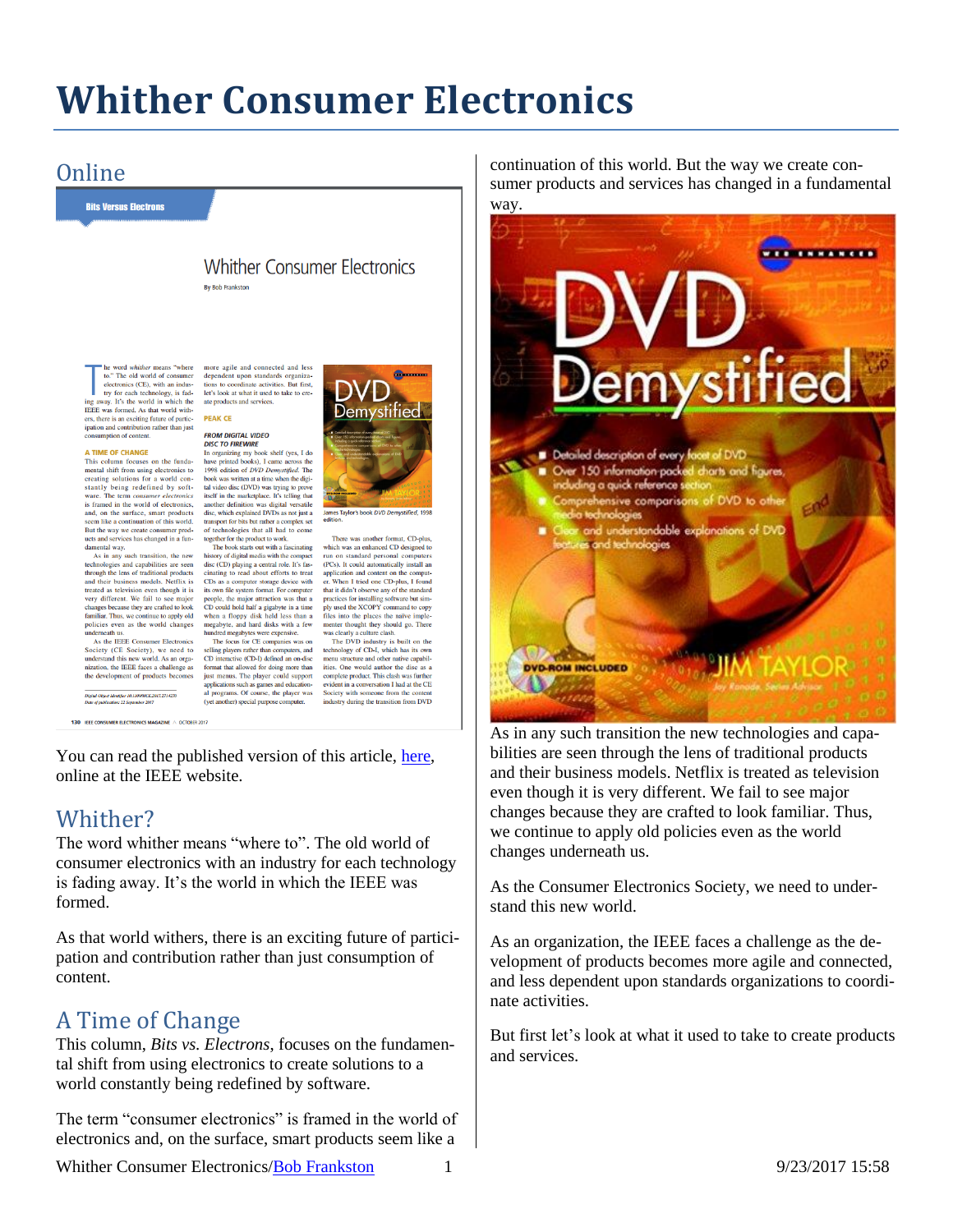# **Whither Consumer Electronics**

**Demystified** 

**Explor's book DVD De** 

There was another format, CD-plus,<br>which was an enhanced CD designed to

run on standard personal computers

(PCs). It could automatically install an

application and content on the comput-

er. When I tried one CD-plus, I found<br>that it didn't boserve any of the standard<br>practices for installing software but simply used the XODY communal to copy<br>files into the places the naive implemente thought they should go

complete product. This clash was further

evident in a conversation I had at the CE Society with someone from the content<br>industry during the transition from DVD

When I tried one CD-plus. I found

## **Online**

**Bits Versus Electrons** 

**Whither Consumer Flectronics Ry Rob Frankston** 

more agile and connected and less

dependent upon standards organiza-

tions to coordinate activities. But first,

let's look at what it used to take to create products and services

**PROM DISTINE<br>DISTO FIREWIRE**<br>In organizing my book shelf (yes, I do<br>have printed books), I came across the<br>1998 edition of *DVD Demystifted*. The

book was written at a time when the digi-

tal video disc (DVD) was trying to prove

tal video disc (DVD) was trying to prove<br>itself in the marketplace. It's telling that<br>another definition was digital versatile<br>disc, which explained DVDs as not just a<br>smapper for bits but rather a complex set<br>of technolog

disc (CD) playing a central role. It's fas-

cinating to read about efforts to treat

CDs as a computer storage device with

its own file system format. For computer

its own file system format. For computer<br>people, the major attraction was that a<br>cD could hold half a gigabyte in a time<br>when a floppy disk held less than a<br>megabyte, and hard disks with a few<br>hundred megabytes were expens

selling players rather than computers, and<br>CD interactive (CD-I) defined an on-disc

format that allowed for doing more than

just menus. The player could support

just menus. The prayer count support<br>applications such as games and education-<br>al programs. Of course, the player was<br>(yet another) special purpose computer.

**DEAK CE FROM DIGITAL VIDEO** 

to." The old world of consumer electronics (CE), with an industry for each technology, is fad-<br>ing away. It's the world in which the<br>IEEE was formed. As that world with-IEEE was formed. As that world with-<br>ers, there is an exciting future of partic-<br>ipation and contribution rather than just<br>consumption of content.

#### A TIME OF CHANGE

This column focuses on the fundamental shift from using electronics to creating solutions for a world constantly being redefined by softvare. The term consumer electronics is framed in the world of electronics is tramed in the world of electronics,<br>and, on the surface, smart products<br>seem like a continuation of this world.<br>But the way we create consumer prod-<br>ucts and services has changed in a fun-

damental way.<br>As in any such transition, the new technologies and capabilities are seen<br>through the lens of traditional products and their business models. Netflix is treated as television even though it is treated as television even though it is<br>very different. We fail to see major<br>changes because they are crafted to look<br>familiar. Thus, we continue to apply old<br>policies even as the world changes<br>underneath us.<br>Anciety (CF S

Society (CE Society), we need to understand this new world. As an organization, the IEEE faces a challenge as the development of products becomes

.<br>Digital Object Identifier 10.1109/MCE.2017.2714270<br>Date of publication: 22 September 2017

130 IEEE CONSUMER ELECTRONICS MAGAZINE A OCTOBER 201

You can read the published version of this article, [here,](http://ieeexplore.ieee.org/stamp/stamp.jsp?tp=&arnumber=8048725) online at the IEEE website.

### Whither?

The word whither means "where to". The old world of consumer electronics with an industry for each technology is fading away. It's the world in which the IEEE was formed.

As that world withers, there is an exciting future of participation and contribution rather than just consumption of content.

## A Time of Change

This column, *Bits vs. Electrons*, focuses on the fundamental shift from using electronics to create solutions to a world constantly being redefined by software.

The term "consumer electronics" is framed in the world of electronics and, on the surface, smart products seem like a

continuation of this world. But the way we create consumer products and services has changed in a fundamental way.



As in any such transition the new technologies and capabilities are seen through the lens of traditional products and their business models. Netflix is treated as television even though it is very different. We fail to see major changes because they are crafted to look familiar. Thus, we continue to apply old policies even as the world changes underneath us.

As the Consumer Electronics Society, we need to understand this new world.

As an organization, the IEEE faces a challenge as the development of products becomes more agile and connected, and less dependent upon standards organizations to coordinate activities.

But first let's look at what it used to take to create products and services.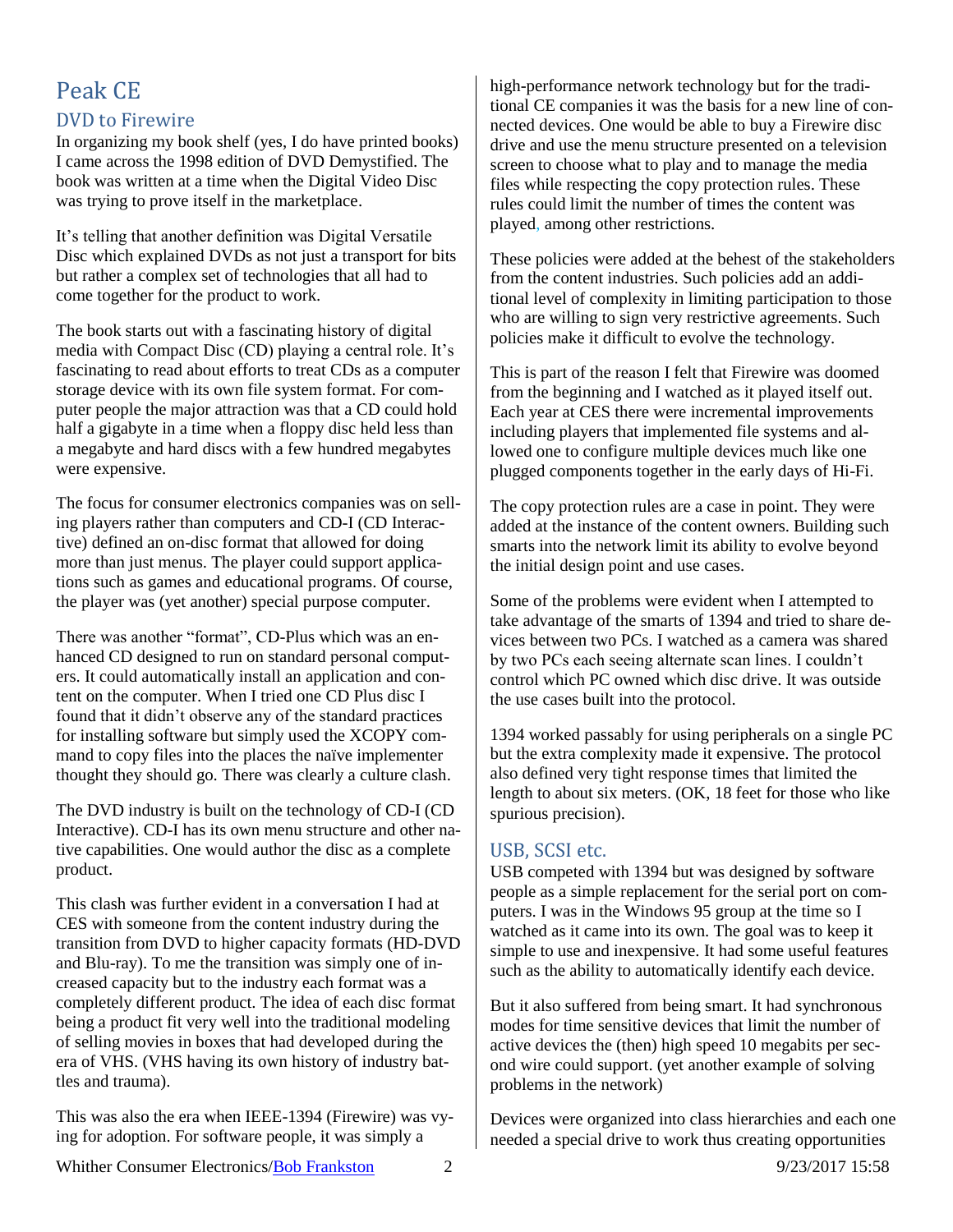## Peak CE DVD to Firewire

In organizing my book shelf (yes, I do have printed books) I came across the 1998 edition of DVD Demystified. The book was written at a time when the Digital Video Disc was trying to prove itself in the marketplace.

It's telling that another definition was Digital Versatile Disc which explained DVDs as not just a transport for bits but rather a complex set of technologies that all had to come together for the product to work.

The book starts out with a fascinating history of digital media with Compact Disc (CD) playing a central role. It's fascinating to read about efforts to treat CDs as a computer storage device with its own file system format. For computer people the major attraction was that a CD could hold half a gigabyte in a time when a floppy disc held less than a megabyte and hard discs with a few hundred megabytes were expensive.

The focus for consumer electronics companies was on selling players rather than computers and CD-I (CD Interactive) defined an on-disc format that allowed for doing more than just menus. The player could support applications such as games and educational programs. Of course, the player was (yet another) special purpose computer.

There was another "format", CD-Plus which was an enhanced CD designed to run on standard personal computers. It could automatically install an application and content on the computer. When I tried one CD Plus disc I found that it didn't observe any of the standard practices for installing software but simply used the XCOPY command to copy files into the places the naïve implementer thought they should go. There was clearly a culture clash.

The DVD industry is built on the technology of CD-I (CD Interactive). CD-I has its own menu structure and other native capabilities. One would author the disc as a complete product.

This clash was further evident in a conversation I had at CES with someone from the content industry during the transition from DVD to higher capacity formats (HD-DVD and Blu-ray). To me the transition was simply one of increased capacity but to the industry each format was a completely different product. The idea of each disc format being a product fit very well into the traditional modeling of selling movies in boxes that had developed during the era of VHS. (VHS having its own history of industry battles and trauma).

This was also the era when IEEE-1394 (Firewire) was vying for adoption. For software people, it was simply a

high-performance network technology but for the traditional CE companies it was the basis for a new line of connected devices. One would be able to buy a Firewire disc drive and use the menu structure presented on a television screen to choose what to play and to manage the media files while respecting the copy protection rules. These rules could limit the number of times the content was played, among other restrictions.

These policies were added at the behest of the stakeholders from the content industries. Such policies add an additional level of complexity in limiting participation to those who are willing to sign very restrictive agreements. Such policies make it difficult to evolve the technology.

This is part of the reason I felt that Firewire was doomed from the beginning and I watched as it played itself out. Each year at CES there were incremental improvements including players that implemented file systems and allowed one to configure multiple devices much like one plugged components together in the early days of Hi-Fi.

The copy protection rules are a case in point. They were added at the instance of the content owners. Building such smarts into the network limit its ability to evolve beyond the initial design point and use cases.

Some of the problems were evident when I attempted to take advantage of the smarts of 1394 and tried to share devices between two PCs. I watched as a camera was shared by two PCs each seeing alternate scan lines. I couldn't control which PC owned which disc drive. It was outside the use cases built into the protocol.

1394 worked passably for using peripherals on a single PC but the extra complexity made it expensive. The protocol also defined very tight response times that limited the length to about six meters. (OK, 18 feet for those who like spurious precision).

#### USB, SCSI etc.

USB competed with 1394 but was designed by software people as a simple replacement for the serial port on computers. I was in the Windows 95 group at the time so I watched as it came into its own. The goal was to keep it simple to use and inexpensive. It had some useful features such as the ability to automatically identify each device.

But it also suffered from being smart. It had synchronous modes for time sensitive devices that limit the number of active devices the (then) high speed 10 megabits per second wire could support. (yet another example of solving problems in the network)

Devices were organized into class hierarchies and each one needed a special drive to work thus creating opportunities

Whither Consumer Electronics[/Bob Frankston](http://frankston.com/public) 2 9/23/2017 15:58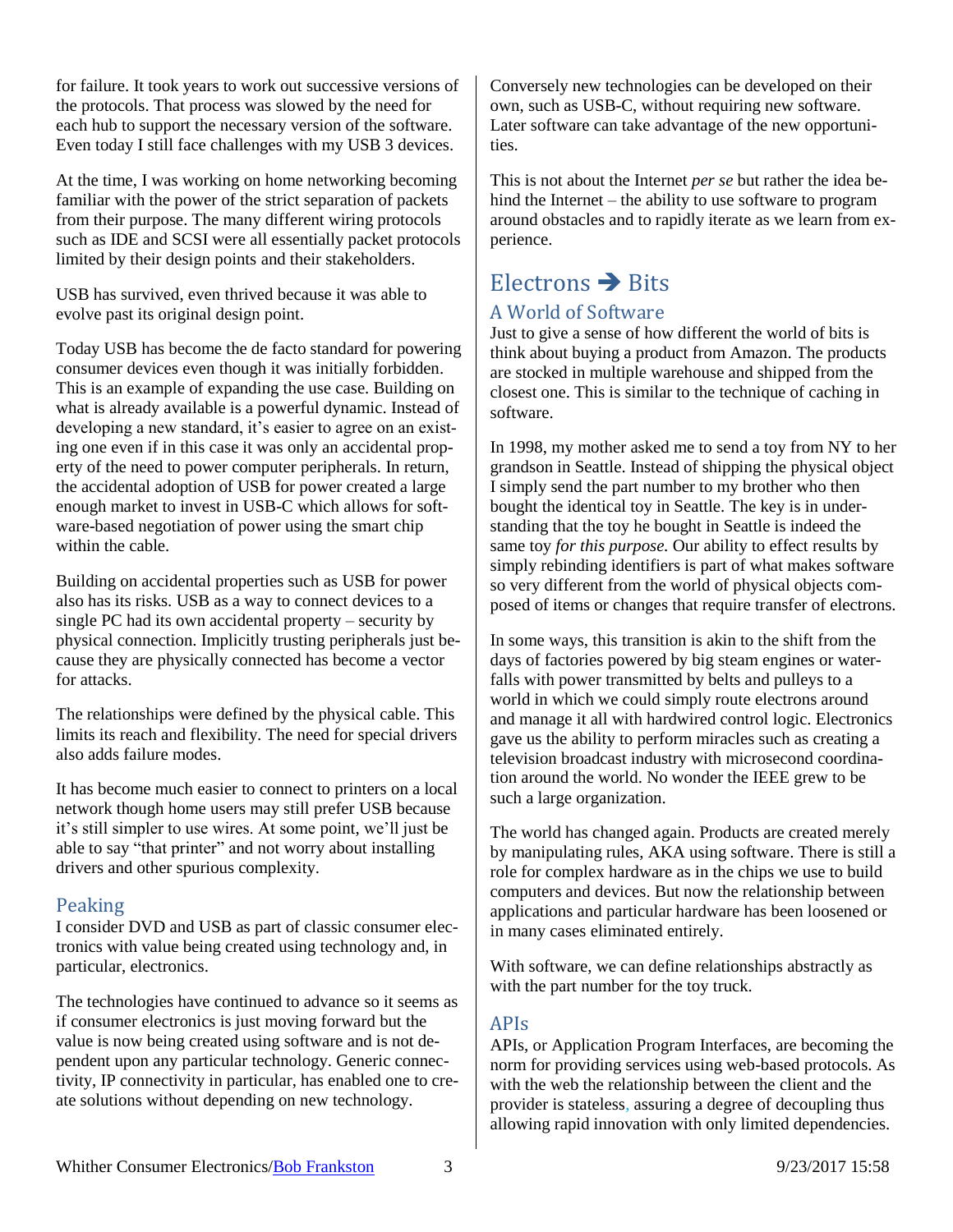for failure. It took years to work out successive versions of the protocols. That process was slowed by the need for each hub to support the necessary version of the software. Even today I still face challenges with my USB 3 devices.

At the time, I was working on home networking becoming familiar with the power of the strict separation of packets from their purpose. The many different wiring protocols such as IDE and SCSI were all essentially packet protocols limited by their design points and their stakeholders.

USB has survived, even thrived because it was able to evolve past its original design point.

Today USB has become the de facto standard for powering consumer devices even though it was initially forbidden. This is an example of expanding the use case. Building on what is already available is a powerful dynamic. Instead of developing a new standard, it's easier to agree on an existing one even if in this case it was only an accidental property of the need to power computer peripherals. In return, the accidental adoption of USB for power created a large enough market to invest in USB-C which allows for software-based negotiation of power using the smart chip within the cable.

Building on accidental properties such as USB for power also has its risks. USB as a way to connect devices to a single PC had its own accidental property – security by physical connection. Implicitly trusting peripherals just because they are physically connected has become a vector for attacks.

The relationships were defined by the physical cable. This limits its reach and flexibility. The need for special drivers also adds failure modes.

It has become much easier to connect to printers on a local network though home users may still prefer USB because it's still simpler to use wires. At some point, we'll just be able to say "that printer" and not worry about installing drivers and other spurious complexity.

#### Peaking

I consider DVD and USB as part of classic consumer electronics with value being created using technology and, in particular, electronics.

The technologies have continued to advance so it seems as if consumer electronics is just moving forward but the value is now being created using software and is not dependent upon any particular technology. Generic connectivity, IP connectivity in particular, has enabled one to create solutions without depending on new technology.

Conversely new technologies can be developed on their own, such as USB-C, without requiring new software. Later software can take advantage of the new opportunities.

This is not about the Internet *per se* but rather the idea behind the Internet – the ability to use software to program around obstacles and to rapidly iterate as we learn from experience.

## $E$ lectrons  $\rightarrow$  Bits

## A World of Software

Just to give a sense of how different the world of bits is think about buying a product from Amazon. The products are stocked in multiple warehouse and shipped from the closest one. This is similar to the technique of caching in software.

In 1998, my mother asked me to send a toy from NY to her grandson in Seattle. Instead of shipping the physical object I simply send the part number to my brother who then bought the identical toy in Seattle. The key is in understanding that the toy he bought in Seattle is indeed the same toy *for this purpose.* Our ability to effect results by simply rebinding identifiers is part of what makes software so very different from the world of physical objects composed of items or changes that require transfer of electrons.

In some ways, this transition is akin to the shift from the days of factories powered by big steam engines or waterfalls with power transmitted by belts and pulleys to a world in which we could simply route electrons around and manage it all with hardwired control logic. Electronics gave us the ability to perform miracles such as creating a television broadcast industry with microsecond coordination around the world. No wonder the IEEE grew to be such a large organization.

The world has changed again. Products are created merely by manipulating rules, AKA using software. There is still a role for complex hardware as in the chips we use to build computers and devices. But now the relationship between applications and particular hardware has been loosened or in many cases eliminated entirely.

With software, we can define relationships abstractly as with the part number for the toy truck.

#### APIs

APIs, or Application Program Interfaces, are becoming the norm for providing services using web-based protocols. As with the web the relationship between the client and the provider is stateless, assuring a degree of decoupling thus allowing rapid innovation with only limited dependencies.